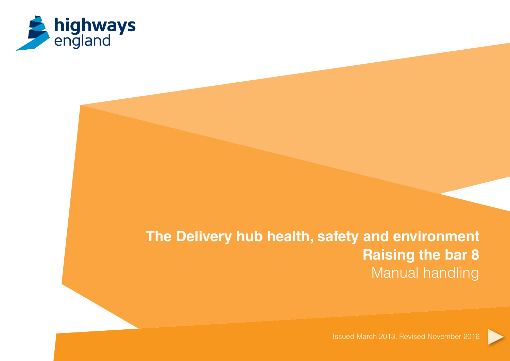

# **The Delivery hub health, safety and environment Raising the bar 8** Manual handling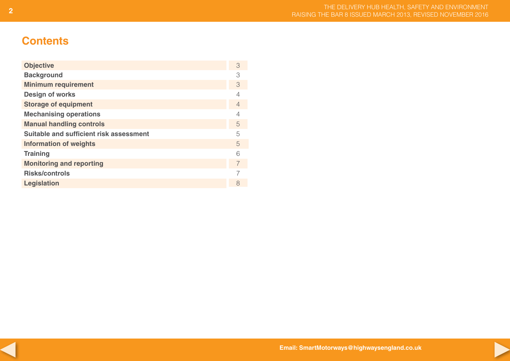# **Contents**

| <b>Objective</b>                        | 3              |
|-----------------------------------------|----------------|
| <b>Background</b>                       | 3              |
| <b>Minimum requirement</b>              | 3              |
| <b>Design of works</b>                  | 4              |
| <b>Storage of equipment</b>             | $\overline{4}$ |
| <b>Mechanising operations</b>           | 4              |
| <b>Manual handling controls</b>         | 5              |
| Suitable and sufficient risk assessment | 5              |
| <b>Information of weights</b>           | 5              |
| <b>Training</b>                         | 6              |
| <b>Monitoring and reporting</b>         | 7              |
| <b>Risks/controls</b>                   |                |
| <b>Legislation</b>                      | 8              |



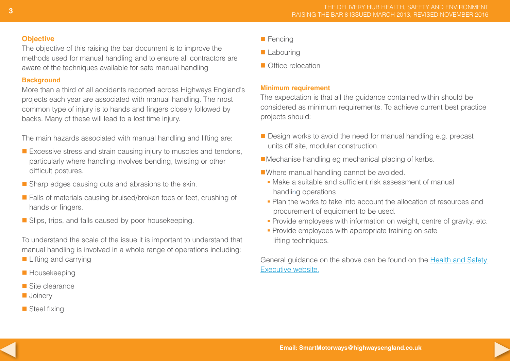#### **Objective**

The objective of this raising the bar document is to improve the methods used for manual handling and to ensure all contractors are aware of the techniques available for safe manual handling

# **Background**

More than a third of all accidents reported across Highways England's projects each year are associated with manual handling. The most common type of injury is to hands and fingers closely followed by backs. Many of these will lead to a lost time injury.

The main hazards associated with manual handling and lifting are:

- $\blacksquare$  Excessive stress and strain causing injury to muscles and tendons, particularly where handling involves bending, twisting or other difficult postures.
- $\blacksquare$  Sharp edges causing cuts and abrasions to the skin.
- Falls of materials causing bruised/broken toes or feet, crushing of hands or fingers.
- $\blacksquare$  Slips, trips, and falls caused by poor housekeeping.

To understand the scale of the issue it is important to understand that manual handling is involved in a whole range of operations including:

- $\blacksquare$  Lifting and carrying
- **Housekeeping**
- $\blacksquare$  Site clearance
- **n** Joinery
- $\blacksquare$  Steel fixing
- $\blacksquare$  Fencing
- **Labouring**
- n Office relocation

# **Minimum requirement**

The expectation is that all the guidance contained within should be considered as minimum requirements. To achieve current best practice projects should:

- Design works to avoid the need for manual handling e.g. precast units off site, modular construction.
- $\blacksquare$  Mechanise handling eg mechanical placing of kerbs.
- nWhere manual handling cannot be avoided.
	- § Make a suitable and sufficient risk assessment of manual handling operations
	- § Plan the works to take into account the allocation of resources and procurement of equipment to be used.
	- Provide employees with information on weight, centre of gravity, etc.
	- Provide employees with appropriate training on safe lifting techniques.

General guidance on the above can be found on the [Health and Safety](

http://www.hse.gov.uk/search/results.htm?q=manual%2Bhandling&sa=Search&cof=FORID%3A11&cx=015848178315289032903%3Akous-jano68&siteurl=http%3A%2F%2Fwww.hse.gov.uk%2Fcontact%2Ffaqs%2Fmanualhandling.htm)  [Executive website.](

http://www.hse.gov.uk/search/results.htm?q=manual%2Bhandling&sa=Search&cof=FORID%3A11&cx=015848178315289032903%3Akous-jano68&siteurl=http%3A%2F%2Fwww.hse.gov.uk%2Fcontact%2Ffaqs%2Fmanualhandling.htm)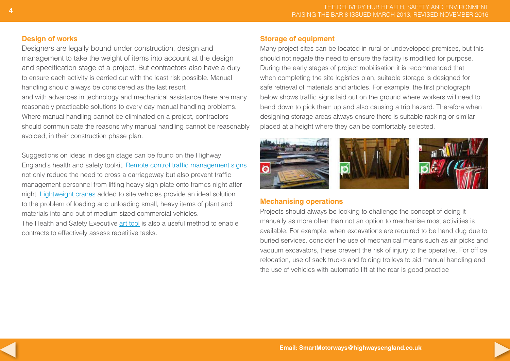#### **Design of works**

Designers are legally bound under construction, design and management to take the weight of items into account at the design and specification stage of a project. But contractors also have a duty to ensure each activity is carried out with the least risk possible. Manual handling should always be considered as the last resort and with advances in technology and mechanical assistance there are many reasonably practicable solutions to every day manual handling problems. Where manual handling cannot be eliminated on a project, contractors should communicate the reasons why manual handling cannot be reasonably avoided, in their construction phase plan.

Suggestions on ideas in design stage can be found on the Highway England's health and safety toolkit. [Remote control traffic management signs](http://partoneclaims.highways.dft.gov.uk/minisite/ssrtoolkit/HS Toolkit/remote control TM signs.pdf) not only reduce the need to cross a carriageway but also prevent traffic management personnel from lifting heavy sign plate onto frames night after night. [Lightweight cranes](http://partoneclaims.highways.dft.gov.uk/minisite/ssrtoolkit/HS Toolkit/250KG Lightweight Crane.pdf) added to site vehicles provide an ideal solution to the problem of loading and unloading small, heavy items of plant and materials into and out of medium sized commercial vehicles.

The Health and Safety Executive art tool is also a useful method to enable contracts to effectively assess repetitive tasks.

### **Storage of equipment**

Many project sites can be located in rural or undeveloped premises, but this should not negate the need to ensure the facility is modified for purpose. During the early stages of project mobilisation it is recommended that when completing the site logistics plan, suitable storage is designed for safe retrieval of materials and articles. For example, the first photograph below shows traffic signs laid out on the ground where workers will need to bend down to pick them up and also causing a trip hazard. Therefore when designing storage areas always ensure there is suitable racking or similar placed at a height where they can be comfortably selected.



# **Mechanising operations**

Projects should always be looking to challenge the concept of doing it manually as more often than not an option to mechanise most activities is available. For example, when excavations are required to be hand dug due to buried services, consider the use of mechanical means such as air picks and vacuum excavators, these prevent the risk of injury to the operative. For office relocation, use of sack trucks and folding trolleys to aid manual handling and the use of vehicles with automatic lift at the rear is good practice

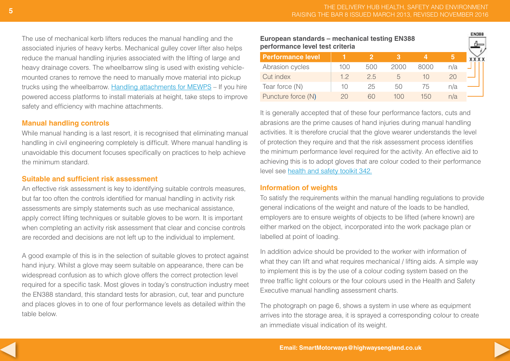**EN388** 

The use of mechanical kerb lifters reduces the manual handling and the associated injuries of heavy kerbs. Mechanical gulley cover lifter also helps reduce the manual handling injuries associated with the lifting of large and heavy drainage covers. The wheelbarrow sling is used with existing vehiclemounted cranes to remove the need to manually move material into pickup trucks using the wheelbarrow. [Handling attachments for MEWPS](http://www.nationwideplatforms.co.uk/safety-and-innovations) – If you hire powered access platforms to install materials at height, take steps to improve safety and efficiency with machine attachments.

#### **Manual handling controls**

While manual handing is a last resort, it is recognised that eliminating manual handling in civil engineering completely is difficult. Where manual handling is unavoidable this document focuses specifically on practices to help achieve the minimum standard.

#### **Suitable and sufficient risk assessment**

An effective risk assessment is key to identifying suitable controls measures, but far too often the controls identified for manual handling in activity risk assessments are simply statements such as use mechanical assistance, apply correct lifting techniques or suitable gloves to be worn. It is important when completing an activity risk assessment that clear and concise controls are recorded and decisions are not left up to the individual to implement.

A good example of this is in the selection of suitable gloves to protect against hand injury. Whilst a glove may seem suitable on appearance, there can be widespread confusion as to which glove offers the correct protection level required for a specific task. Most gloves in today's construction industry meet the EN388 standard, this standard tests for abrasion, cut, tear and puncture and places gloves in to one of four performance levels as detailed within the table below.

#### **European standards – mechanical testing EN388 performance level test criteria**

| <b>Performance level</b> |     |     |      |      |     |  |
|--------------------------|-----|-----|------|------|-----|--|
| Abrasion cycles          | 100 | 500 | 2000 | 8000 | n/a |  |
| Cut index                | 1つ  | 2.5 |      |      |     |  |
| Tear force (N)           | 10  | 25  | 50   | 75   | n/a |  |
| Puncture force (N)       | 2Ω  |     | 100  | 15() | n/a |  |

It is generally accepted that of these four performance factors, cuts and abrasions are the prime causes of hand injuries during manual handling activities. It is therefore crucial that the glove wearer understands the level of protection they require and that the risk assessment process identifies the minimum performance level required for the activity. An effective aid to achieving this is to adopt gloves that are colour coded to their performance level see [health and safety toolkit 342.](http://www.highways.gov.uk/specialist-information/highways-agency-toolkits/health-and-safety-toolkit/)

#### **Information of weights**

To satisfy the requirements within the manual handling regulations to provide general indications of the weight and nature of the loads to be handled, employers are to ensure weights of objects to be lifted (where known) are either marked on the object, incorporated into the work package plan or labelled at point of loading.

In addition advice should be provided to the worker with information of what they can lift and what requires mechanical / lifting aids. A simple way to implement this is by the use of a colour coding system based on the three traffic light colours or the four colours used in the Health and Safety Executive manual handling assessment charts.

The photograph on page 6, shows a system in use where as equipment arrives into the storage area, it is sprayed a corresponding colour to create an immediate visual indication of its weight.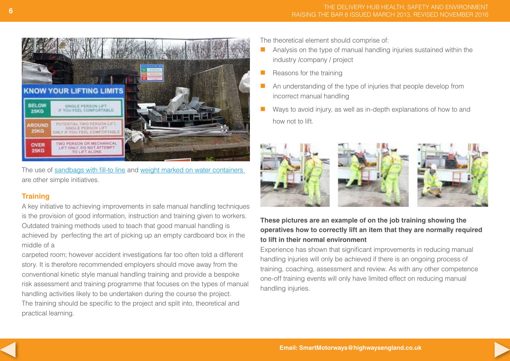

The use of [sandbags with fill-to line](http://partoneclaims.highways.dft.gov.uk/minisite/ssrtoolkit/HS Toolkit/Sandbag with Fill-to line.pdf) and [weight marked on water containers](http://partoneclaims.highways.dft.gov.uk/minisite/ssrtoolkit/HS Toolkit/weight marked on water containers.pdf)  are other simple initiatives.

# **Training**

A key initiative to achieving improvements in safe manual handling techniques is the provision of good information, instruction and training given to workers. Outdated training methods used to teach that good manual handling is achieved by perfecting the art of picking up an empty cardboard box in the middle of a

carpeted room; however accident investigations far too often told a different story. It is therefore recommended employers should move away from the conventional kinetic style manual handling training and provide a bespoke risk assessment and training programme that focuses on the types of manual handling activities likely to be undertaken during the course the project. The training should be specific to the project and split into, theoretical and practical learning.

The theoretical element should comprise of:

- $\blacksquare$  Analysis on the type of manual handling injuries sustained within the industry /company / project
- $\blacksquare$  Reasons for the training
- $\blacksquare$  An understanding of the type of injuries that people develop from incorrect manual handling
- $\blacksquare$  Ways to avoid injury, as well as in-depth explanations of how to and how not to lift.



# **These pictures are an example of on the job training showing the operatives how to correctly lift an item that they are normally required to lift in their normal environment**

Experience has shown that significant improvements in reducing manual handling injuries will only be achieved if there is an ongoing process of training, coaching, assessment and review. As with any other competence one-off training events will only have limited effect on reducing manual handling injuries.

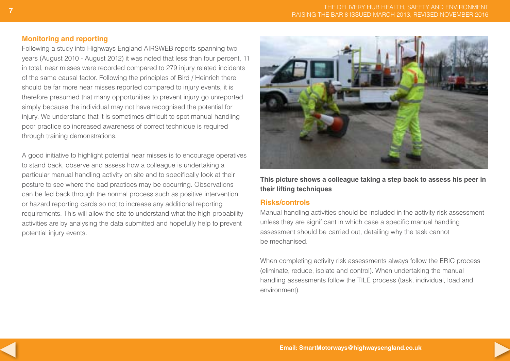# **Monitoring and reporting**

Following a study into Highways England AIRSWEB reports spanning two years (August 2010 - August 2012) it was noted that less than four percent, 11 in total, near misses were recorded compared to 279 injury related incidents of the same causal factor. Following the principles of Bird / Heinrich there should be far more near misses reported compared to injury events, it is therefore presumed that many opportunities to prevent injury go unreported simply because the individual may not have recognised the potential for injury. We understand that it is sometimes difficult to spot manual handling poor practice so increased awareness of correct technique is required through training demonstrations.

A good initiative to highlight potential near misses is to encourage operatives to stand back, observe and assess how a colleague is undertaking a particular manual handling activity on site and to specifically look at their posture to see where the bad practices may be occurring. Observations can be fed back through the normal process such as positive intervention or hazard reporting cards so not to increase any additional reporting requirements. This will allow the site to understand what the high probability activities are by analysing the data submitted and hopefully help to prevent potential injury events.



**This picture shows a colleague taking a step back to assess his peer in their lifting techniques**

#### **Risks/controls**

Manual handling activities should be included in the activity risk assessment unless they are significant in which case a specific manual handling assessment should be carried out, detailing why the task cannot be mechanised.

When completing activity risk assessments always follow the ERIC process (eliminate, reduce, isolate and control). When undertaking the manual handling assessments follow the TILE process (task, individual, load and environment).

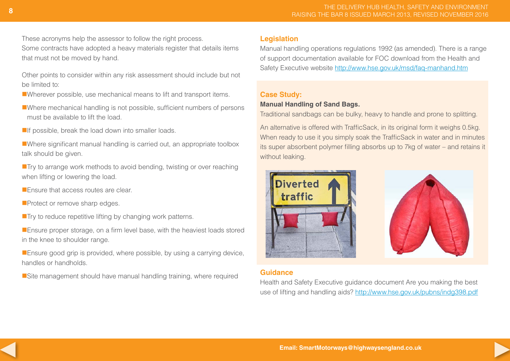These acronyms help the assessor to follow the right process. Some contracts have adopted a heavy materials register that details items that must not be moved by hand.

Other points to consider within any risk assessment should include but not be limited to:

■Wherever possible, use mechanical means to lift and transport items.

■Where mechanical handling is not possible, sufficient numbers of persons must be available to lift the load.

 $\blacksquare$ If possible, break the load down into smaller loads.

■Where significant manual handling is carried out, an appropriate toolbox talk should be given.

■ Try to arrange work methods to avoid bending, twisting or over reaching when lifting or lowering the load.

**E** Fnsure that access routes are clear.

**Protect or remove sharp edges.** 

 $\blacksquare$  Try to reduce repetitive lifting by changing work patterns.

**Ensure proper storage, on a firm level base, with the heaviest loads stored** in the knee to shoulder range.

**Ensure good grip is provided, where possible, by using a carrying device,** handles or handholds.

■Site management should have manual handling training, where required

#### **Legislation**

Manual handling operations regulations 1992 (as amended). There is a range of support documentation available for FOC download from the Health and Safety Executive website <http://www.hse.gov.uk/msd/faq-manhand.htm>

# **Case Study:**

# **Manual Handling of Sand Bags.**

Traditional sandbags can be bulky, heavy to handle and prone to splitting.

An alternative is offered with TrafficSack, in its original form it weighs 0.5kg. When ready to use it you simply soak the TrafficSack in water and in minutes its super absorbent polymer filling absorbs up to 7kg of water – and retains it without leaking.



# **Guidance**

Health and Safety Executive guidance document Are you making the best use of lifting and handling aids? http://www.hse.gov.uk/pubns/indg398.pdf